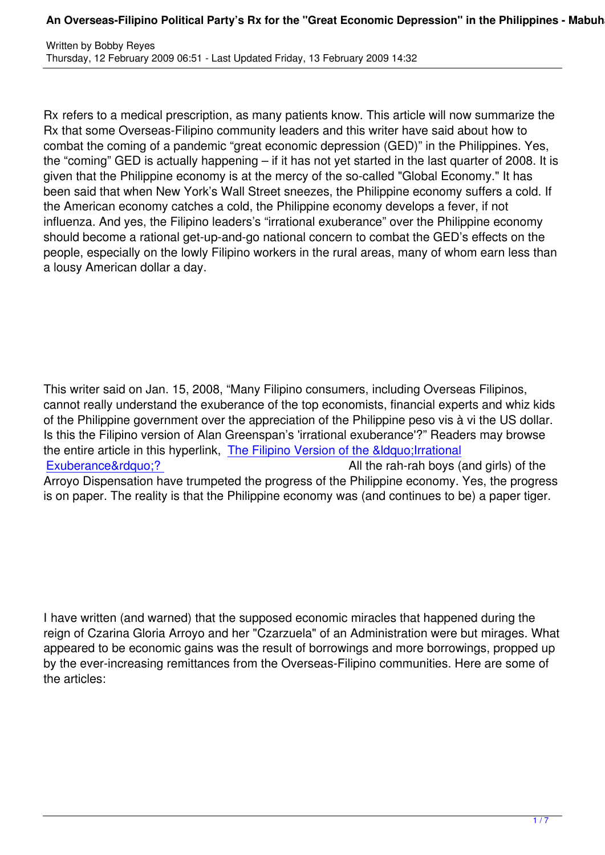Rx refers to a medical prescription, as many patients know. This article will now summarize the Rx that some Overseas-Filipino community leaders and this writer have said about how to combat the coming of a pandemic "great economic depression (GED)" in the Philippines. Yes, the "coming" GED is actually happening – if it has not yet started in the last quarter of 2008. It is given that the Philippine economy is at the mercy of the so-called "Global Economy." It has been said that when New York's Wall Street sneezes, the Philippine economy suffers a cold. If the American economy catches a cold, the Philippine economy develops a fever, if not influenza. And yes, the Filipino leaders's "irrational exuberance" over the Philippine economy should become a rational get-up-and-go national concern to combat the GED's effects on the people, especially on the lowly Filipino workers in the rural areas, many of whom earn less than a lousy American dollar a day.

This writer said on Jan. 15, 2008, "Many Filipino consumers, including Overseas Filipinos, cannot really understand the exuberance of the top economists, financial experts and whiz kids of the Philippine government over the appreciation of the Philippine peso vis à vi the US dollar. Is this the Filipino version of Alan Greenspan's 'irrational exuberance'?" Readers may browse the entire article in this hyperlink, The Filipino Version of the &Idquo; Irrational Exuberance&rdguo:? All the rah-rah boys (and girls) of the Arroyo Dispensation have trumpeted the progress of the Philippine economy. Yes, the progress is on paper. The reality is that the [Philippine economy was \(and continues to b](content/view/2045/51)e) a paper tiger.

I have written (and warned) that the supposed economic miracles that happened during the reign of Czarina Gloria Arroyo and her "Czarzuela" of an Administration were but mirages. What appeared to be economic gains was the result of borrowings and more borrowings, propped up by the ever-increasing remittances from the Overseas-Filipino communities. Here are some of the articles: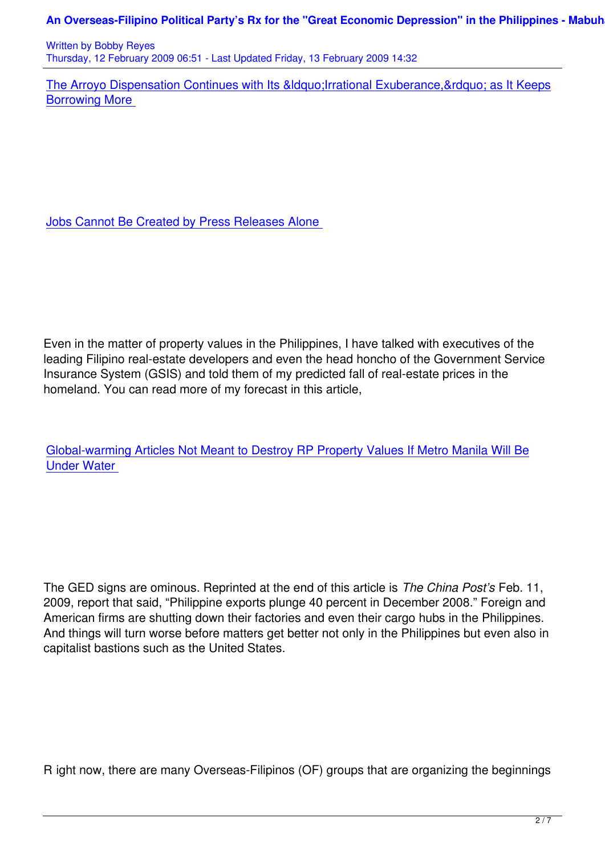The Arroyo Dispensation Continues with Its &Idquo; Irrational Exuberance, & rdquo; as It Keeps Borrowing More

Jobs Cannot Be Created by Press Releases Alone

Even in the matter of property values in the Philippines, I have talked with executives of the leading Filipino real-estate developers and even the head honcho of the Government Service Insurance System (GSIS) and told them of my predicted fall of real-estate prices in the homeland. You can read more of my forecast in this article,

Global-warming Articles Not Meant to Destroy RP Property Values If Metro Manila Will Be Under Water

The GED signs are ominous. Reprinted at the end of this article is *The China Post's* Feb. 11, 2009, report that said, "Philippine exports plunge 40 percent in December 2008." Foreign and American firms are shutting down their factories and even their cargo hubs in the Philippines. And things will turn worse before matters get better not only in the Philippines but even also in capitalist bastions such as the United States.

R ight now, there are many Overseas-Filipinos (OF) groups that are organizing the beginnings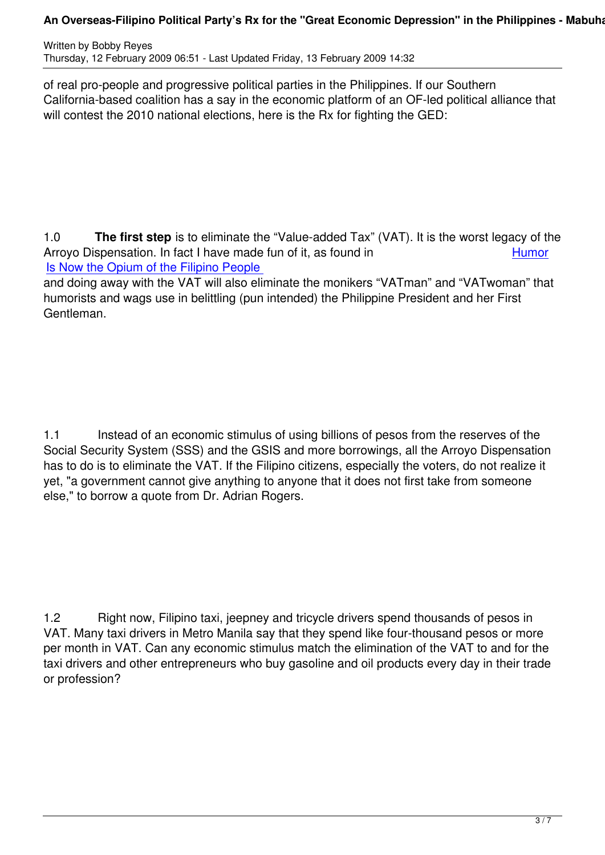of real pro-people and progressive political parties in the Philippines. If our Southern California-based coalition has a say in the economic platform of an OF-led political alliance that will contest the 2010 national elections, here is the Rx for fighting the GED:

1.0 **The first step** is to eliminate the "Value-added Tax" (VAT). It is the worst legacy of the Arroyo Dispensation. In fact I have made fun of it, as found in **Example 2018** Humor Is Now the Opium of the Filipino People

and doing away with the VAT will also eliminate the monikers "VATman" and "VATwoman" that humorists and wags use in belittling (pun intended) the Philippine President and her Fir[st](content/view/3098/51) [Gentleman.](content/view/3098/51)

1.1 Instead of an economic stimulus of using billions of pesos from the reserves of the Social Security System (SSS) and the GSIS and more borrowings, all the Arroyo Dispensation has to do is to eliminate the VAT. If the Filipino citizens, especially the voters, do not realize it yet, "a government cannot give anything to anyone that it does not first take from someone else," to borrow a quote from Dr. Adrian Rogers.

1.2 Right now, Filipino taxi, jeepney and tricycle drivers spend thousands of pesos in VAT. Many taxi drivers in Metro Manila say that they spend like four-thousand pesos or more per month in VAT. Can any economic stimulus match the elimination of the VAT to and for the taxi drivers and other entrepreneurs who buy gasoline and oil products every day in their trade or profession?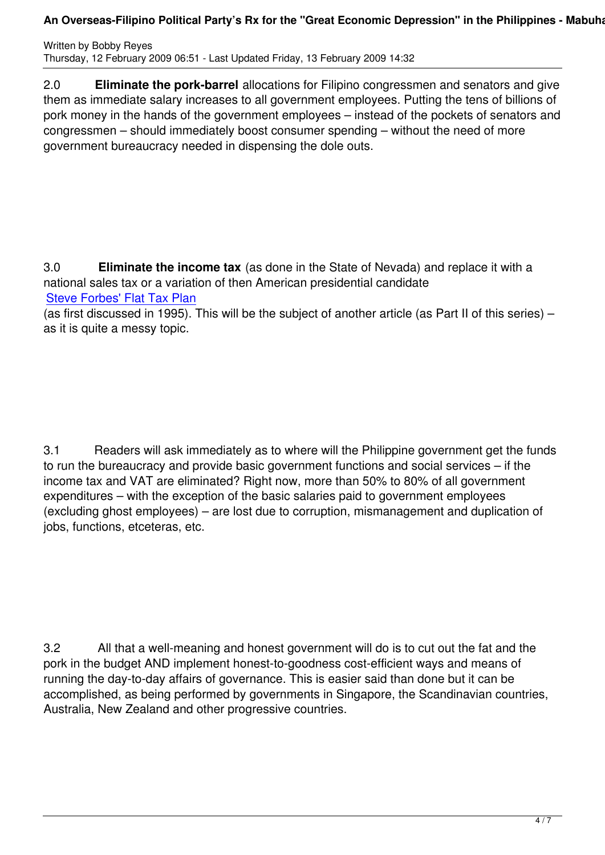2.0 **Eliminate the pork-barrel** allocations for Filipino congressmen and senators and give them as immediate salary increases to all government employees. Putting the tens of billions of pork money in the hands of the government employees – instead of the pockets of senators and congressmen – should immediately boost consumer spending – without the need of more government bureaucracy needed in dispensing the dole outs.

3.0 **Eliminate the income tax** (as done in the State of Nevada) and replace it with a national sales tax or a variation of then American presidential candidate Steve Forbes' Flat Tax Plan

(as first discussed in 1995). This will be the subject of another article (as Part II of this series) – as it is quite a messy topic.

3.1 Readers will ask immediately as to where will the Philippine government get the funds to run the bureaucracy and provide basic government functions and social services – if the income tax and VAT are eliminated? Right now, more than 50% to 80% of all government expenditures – with the exception of the basic salaries paid to government employees (excluding ghost employees) – are lost due to corruption, mismanagement and duplication of jobs, functions, etceteras, etc.

3.2 All that a well-meaning and honest government will do is to cut out the fat and the pork in the budget AND implement honest-to-goodness cost-efficient ways and means of running the day-to-day affairs of governance. This is easier said than done but it can be accomplished, as being performed by governments in Singapore, the Scandinavian countries, Australia, New Zealand and other progressive countries.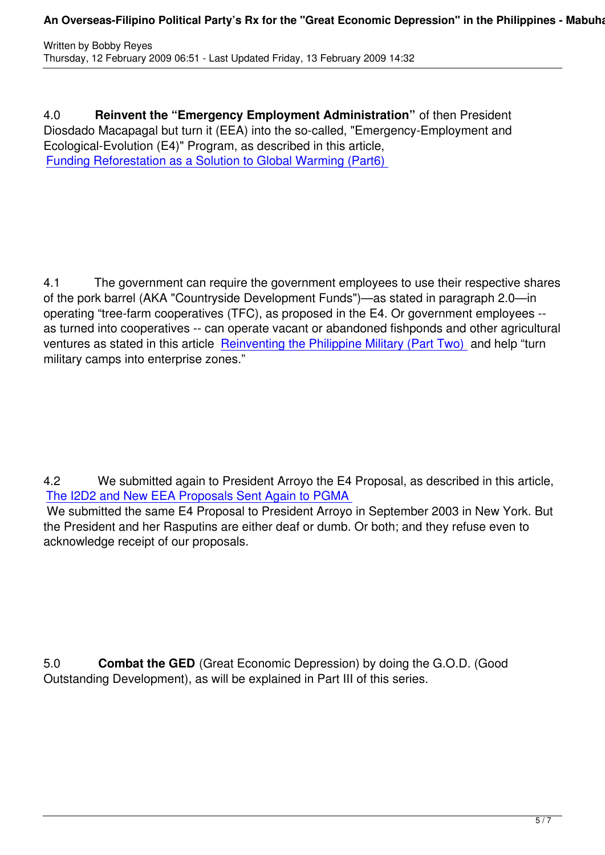4.0 **Reinvent the "Emergency Employment Administration"** of then President Diosdado Macapagal but turn it (EEA) into the so-called, "Emergency-Employment and Ecological-Evolution (E4)" Program, as described in this article, Funding Reforestation as a Solution to Global Warming (Part6)

4.1 The government can require the government employees to use their respective shares of the pork barrel (AKA "Countryside Development Funds")—as stated in paragraph 2.0—in operating "tree-farm cooperatives (TFC), as proposed in the E4. Or government employees - as turned into cooperatives -- can operate vacant or abandoned fishponds and other agricultural ventures as stated in this article Reinventing the Philippine Military (Part Two) and help "turn military camps into enterprise zones."

4.2 We submitted again to President Arroyo the E4 Proposal, as described in this article, The I2D2 and New EEA Proposals Sent Again to PGMA

 We submitted the same E4 Proposal to President Arroyo in September 2003 in New York. But the President and her Rasputins are either deaf or dumb. Or both; and they refuse even to [acknowledge receipt of our proposals.](content/view/3279/51)

5.0 **Combat the GED** (Great Economic Depression) by doing the G.O.D. (Good Outstanding Development), as will be explained in Part III of this series.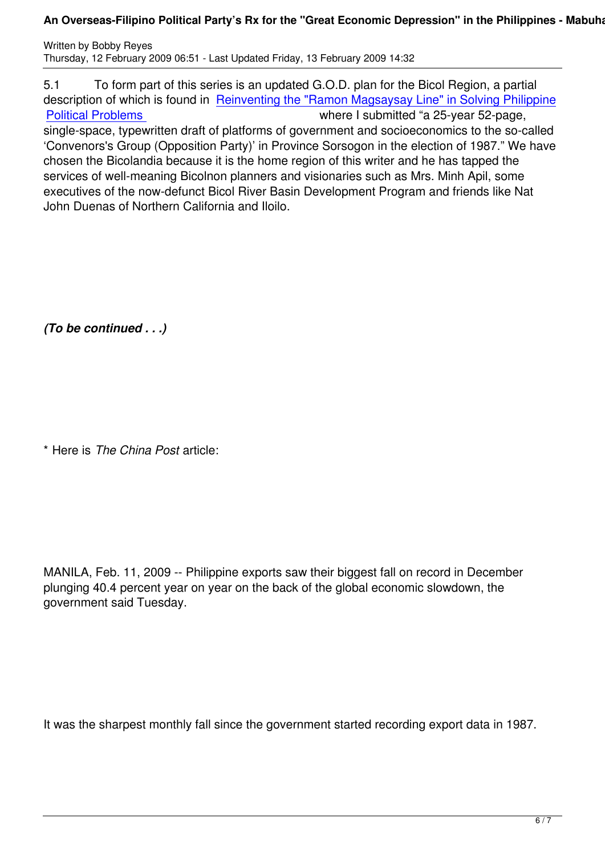5.1 To form part of this series is an updated G.O.D. plan for the Bicol Region, a partial description of which is found in Reinventing the "Ramon Magsaysay Line" in Solving Philippine Political Problems where I submitted "a 25-year 52-page, single-space, typewritten draft of platforms of government and socioeconomics to the so-called 'Convenors's Group (Oppositio[n Party\)' in Province Sorsogon in the election of 1987." We have](content/view/431/51) [chosen the Bicolan](content/view/431/51)dia because it is the home region of this writer and he has tapped the services of well-meaning Bicolnon planners and visionaries such as Mrs. Minh Apil, some executives of the now-defunct Bicol River Basin Development Program and friends like Nat John Duenas of Northern California and Iloilo.

*(To be continued . . .)*

\* Here is *The China Post* article:

MANILA, Feb. 11, 2009 -- Philippine exports saw their biggest fall on record in December plunging 40.4 percent year on year on the back of the global economic slowdown, the government said Tuesday.

It was the sharpest monthly fall since the government started recording export data in 1987.